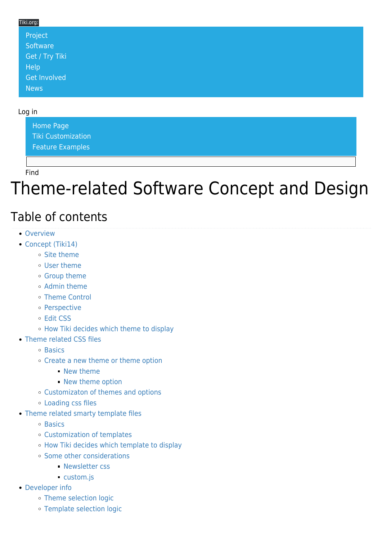#### Tiki.org:

| Project             |  |  |  |
|---------------------|--|--|--|
| Software            |  |  |  |
| Get / Try Tiki      |  |  |  |
| <b>Help</b>         |  |  |  |
| <b>Get Involved</b> |  |  |  |
| <b>News</b>         |  |  |  |

#### Log in

[Home Page](https://themes.tiki.org/Themes) [Tiki Customization](https://themes.tiki.org/Tiki-Customization) [Feature Examples](#page--1-0)

Find

## Theme-related Software Concept and Design

#### Table of contents

- [Overview](#page--1-0)
- [Concept \(Tiki14\)](#page--1-0)
	- [Site theme](#page--1-0)
	- [User theme](#page--1-0)
	- [Group theme](#page--1-0)
	- o [Admin theme](#page--1-0)
	- [Theme Control](#page--1-0)
	- [Perspective](#page--1-0)
	- [Edit CSS](#page--1-0)
	- [How Tiki decides which theme to display](#page--1-0)
- [Theme related CSS files](#page--1-0)
	- o [Basics](#page--1-0)
	- [Create a new theme or theme option](#page--1-0)
		- [New theme](#page--1-0)
		- [New theme option](#page--1-0)
	- [Customizaton of themes and options](#page--1-0)
	- [Loading css files](#page--1-0)
- [Theme related smarty template files](#page--1-0)
	- <sup>o</sup> [Basics](#page--1-0)
	- [Customization of templates](#page--1-0)
	- [How Tiki decides which template to display](#page--1-0)
	- [Some other considerations](#page--1-0)
		- **[Newsletter css](#page--1-0)**
		- [custom.js](#custom.js)
- [Developer info](#page--1-0)
	- [Theme selection logic](#page--1-0)
	- [Template selection logic](#page--1-0)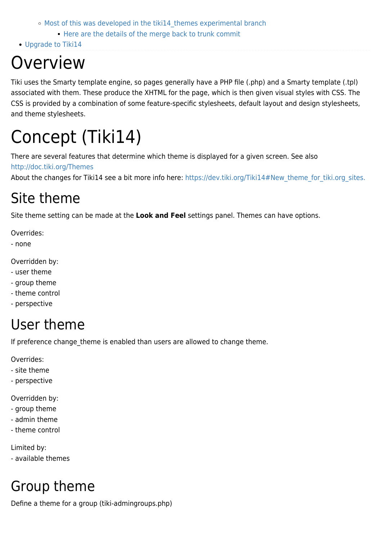- o Most of this was developed in the tiki14 themes experimental branch
	- **[Here are the details of the merge back to trunk commit](#page--1-0)**
- [Upgrade to Tiki14](#page--1-0)

## **Overview**

Tiki uses the Smarty template engine, so pages generally have a PHP file (.php) and a Smarty template (.tpl) associated with them. These produce the XHTML for the page, which is then given visual styles with CSS. The CSS is provided by a combination of some feature-specific stylesheets, default layout and design stylesheets, and theme stylesheets.

# Concept (Tiki14)

There are several features that determine which theme is displayed for a given screen. See also <http://doc.tiki.org/Themes>

About the changes for Tiki14 see a bit more info here: https://dev.tiki.org/Tiki14#New theme for tiki.org sites.

## Site theme

Site theme setting can be made at the **Look and Feel** settings panel. Themes can have options.

Overrides:

- none

Overridden by:

- user theme
- group theme
- theme control
- perspective

## User theme

If preference change theme is enabled than users are allowed to change theme.

Overrides:

- site theme
- perspective

Overridden by:

- group theme
- admin theme
- theme control

Limited by:

- available themes

## Group theme

Define a theme for a group (tiki-admingroups.php)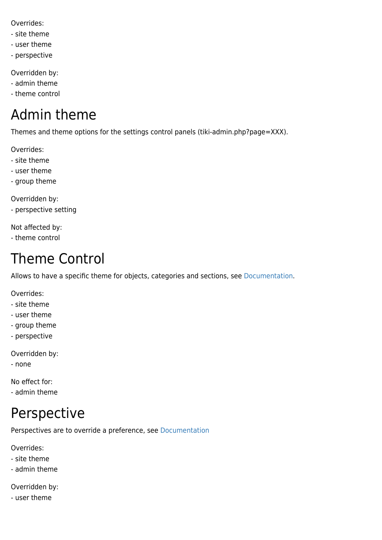Overrides:

- site theme
- user theme
- perspective

Overridden by:

- admin theme
- theme control

### Admin theme

Themes and theme options for the settings control panels (tiki-admin.php?page=XXX).

Overrides:

- site theme
- user theme
- group theme

Overridden by:

- perspective setting

Not affected by:

- theme control

### Theme Control

Allows to have a specific theme for objects, categories and sections, see [Documentation.](http://doc.tiki.org/Theme+Control)

Overrides:

- site theme
- user theme
- group theme
- perspective

Overridden by:

- none

No effect for:

- admin theme

## Perspective

Perspectives are to override a preference, see [Documentation](http://doc.tiki.org/Perspectives)

Overrides:

- site theme

- admin theme

Overridden by:

- user theme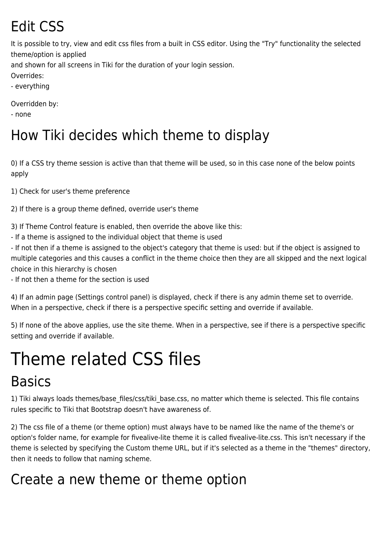## Edit CSS

It is possible to try, view and edit css files from a built in CSS editor. Using the "Try" functionality the selected theme/option is applied

and shown for all screens in Tiki for the duration of your login session.

Overrides:

- everything

Overridden by:

- none

## How Tiki decides which theme to display

0) If a CSS try theme session is active than that theme will be used, so in this case none of the below points apply

1) Check for user's theme preference

2) If there is a group theme defined, override user's theme

3) If Theme Control feature is enabled, then override the above like this:

- If a theme is assigned to the individual object that theme is used

- If not then if a theme is assigned to the object's category that theme is used: but if the object is assigned to multiple categories and this causes a conflict in the theme choice then they are all skipped and the next logical choice in this hierarchy is chosen

- If not then a theme for the section is used

4) If an admin page (Settings control panel) is displayed, check if there is any admin theme set to override. When in a perspective, check if there is a perspective specific setting and override if available.

5) If none of the above applies, use the site theme. When in a perspective, see if there is a perspective specific setting and override if available.

# Theme related CSS files

#### **Basics**

1) Tiki always loads themes/base files/css/tiki base.css, no matter which theme is selected. This file contains rules specific to Tiki that Bootstrap doesn't have awareness of.

2) The css file of a theme (or theme option) must always have to be named like the name of the theme's or option's folder name, for example for fivealive-lite theme it is called fivealive-lite.css. This isn't necessary if the theme is selected by specifying the Custom theme URL, but if it's selected as a theme in the "themes" directory, then it needs to follow that naming scheme.

## Create a new theme or theme option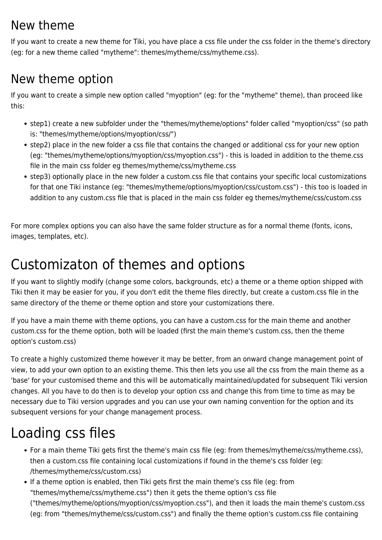#### New theme

If you want to create a new theme for Tiki, you have place a css file under the css folder in the theme's directory (eg: for a new theme called "mytheme": themes/mytheme/css/mytheme.css).

#### New theme option

If you want to create a simple new option called "myoption" (eg: for the "mytheme" theme), than proceed like this:

- step1) create a new subfolder under the "themes/mytheme/options" folder called "myoption/css" (so path is: "themes/mytheme/options/myoption/css/")
- step2) place in the new folder a css file that contains the changed or additional css for your new option (eg: "themes/mytheme/options/myoption/css/myoption.css") - this is loaded in addition to the theme.css file in the main css folder eg themes/mytheme/css/mytheme.css
- step3) optionally place in the new folder a custom.css file that contains your specific local customizations for that one Tiki instance (eg: "themes/mytheme/options/myoption/css/custom.css") - this too is loaded in addition to any custom.css file that is placed in the main css folder eg themes/mytheme/css/custom.css

For more complex options you can also have the same folder structure as for a normal theme (fonts, icons, images, templates, etc).

### Customizaton of themes and options

If you want to slightly modify (change some colors, backgrounds, etc) a theme or a theme option shipped with Tiki then it may be easier for you, if you don't edit the theme files directly, but create a custom.css file in the same directory of the theme or theme option and store your customizations there.

If you have a main theme with theme options, you can have a custom.css for the main theme and another custom.css for the theme option, both will be loaded (first the main theme's custom.css, then the theme option's custom.css)

To create a highly customized theme however it may be better, from an onward change management point of view, to add your own option to an existing theme. This then lets you use all the css from the main theme as a 'base' for your customised theme and this will be automatically maintained/updated for subsequent Tiki version changes. All you have to do then is to develop your option css and change this from time to time as may be necessary due to Tiki version upgrades and you can use your own naming convention for the option and its subsequent versions for your change management process.

## Loading css files

- For a main theme Tiki gets first the theme's main css file (eg: from themes/mytheme/css/mytheme.css), then a custom.css file containing local customizations if found in the theme's css folder (eg: /themes/mytheme/css/custom.css)
- If a theme option is enabled, then Tiki gets first the main theme's css file (eg: from "themes/mytheme/css/mytheme.css") then it gets the theme option's css file ("themes/mytheme/options/myoption/css/myoption.css"), and then it loads the main theme's custom.css (eg: from "themes/mytheme/css/custom.css") and finally the theme option's custom.css file containing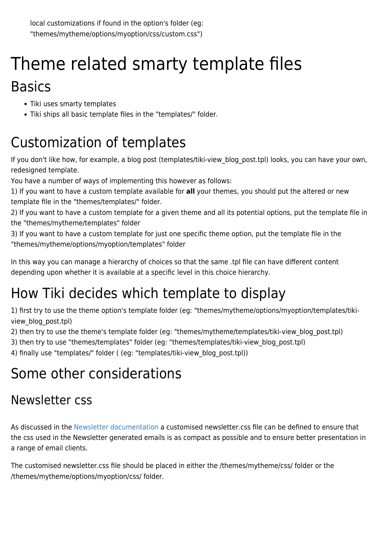## Theme related smarty template files Basics

- Tiki uses smarty templates
- Tiki ships all basic template files in the "templates/" folder.

## Customization of templates

If you don't like how, for example, a blog post (templates/tiki-view blog post.tpl) looks, you can have your own, redesigned template.

You have a number of ways of implementing this however as follows:

1) If you want to have a custom template available for **all** your themes, you should put the altered or new template file in the "themes/templates/" folder.

2) If you want to have a custom template for a given theme and all its potential options, put the template file in the "themes/mytheme/templates" folder

3) If you want to have a custom template for just one specific theme option, put the template file in the "themes/mytheme/options/myoption/templates" folder

In this way you can manage a hierarchy of choices so that the same .tpl file can have different content depending upon whether it is available at a specific level in this choice hierarchy.

## How Tiki decides which template to display

1) first try to use the theme option's template folder (eg: "themes/mytheme/options/myoption/templates/tikiview blog post.tpl)

2) then try to use the theme's template folder (eg: "themes/mytheme/templates/tiki-view\_blog\_post.tpl)

3) then try to use "themes/templates" folder (eg: "themes/templates/tiki-view blog post.tpl)

4) finally use "templates/" folder ( (eg: "templates/tiki-view\_blog\_post.tpl))

## Some other considerations

#### Newsletter css

As discussed in the [Newsletter documentation](https://doc.tiki.org/Newsletter+Admin#Styling_an_HTML_Newsletter) a customised newsletter.css file can be defined to ensure that the css used in the Newsletter generated emails is as compact as possible and to ensure better presentation in a range of email clients.

The customised newsletter.css file should be placed in either the /themes/mytheme/css/ folder or the /themes/mytheme/options/myoption/css/ folder.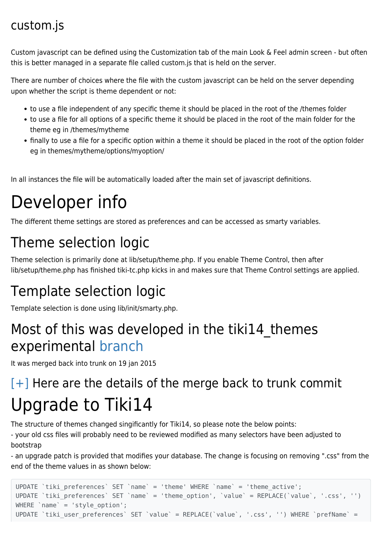#### custom.js

Custom javascript can be defined using the Customization tab of the main Look & Feel admin screen - but often this is better managed in a separate file called custom.js that is held on the server.

There are number of choices where the file with the custom javascript can be held on the server depending upon whether the script is theme dependent or not:

- to use a file independent of any specific theme it should be placed in the root of the /themes folder
- to use a file for all options of a specific theme it should be placed in the root of the main folder for the theme eg in /themes/mytheme
- finally to use a file for a specific option within a theme it should be placed in the root of the option folder eg in themes/mytheme/options/myoption/

In all instances the file will be automatically loaded after the main set of javascript definitions.

# Developer info

The different theme settings are stored as preferences and can be accessed as smarty variables.

## Theme selection logic

Theme selection is primarily done at lib/setup/theme.php. If you enable Theme Control, then after lib/setup/theme.php has finished tiki-tc.php kicks in and makes sure that Theme Control settings are applied.

## Template selection logic

Template selection is done using lib/init/smarty.php.

#### Most of this was developed in the tiki14 themes experimental [branch](https://dev.tiki.org/Experimental+Branches#Summary)

It was merged back into trunk on 19 jan 2015

## $[+]$  Here are the details of the merge back to trunk commit Upgrade to Tiki14

The structure of themes changed singificantly for Tiki14, so please note the below points:

- your old css files will probably need to be reviewed modified as many selectors have been adjusted to bootstrap

- an upgrade patch is provided that modifies your database. The change is focusing on removing ".css" from the end of the theme values in as shown below:

```
UPDATE `tiki_preferences` SET `name` = 'theme' WHERE `name` = 'theme_active';
UPDATE `tiki preferences` SET `name` = 'theme option', `value` = REPLACE(`value`, '.css', '')
WHERE `name` = 'style option';
UPDATE `tiki_user_preferences` SET `value` = REPLACE(`value`, '.css', '') WHERE `prefName` =
```